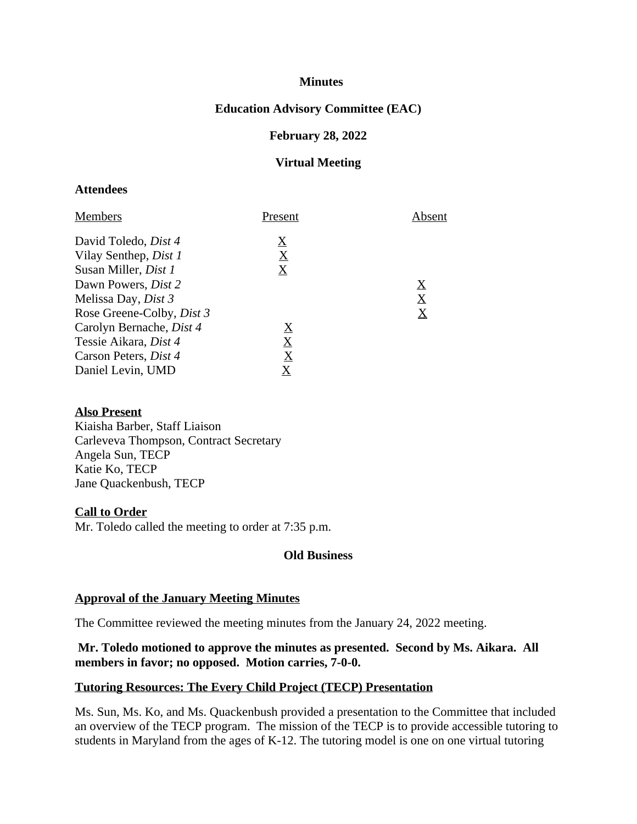## **Minutes**

## **Education Advisory Committee (EAC)**

### **February 28, 2022**

### **Virtual Meeting**

#### **Attendees**

| Present                               | Absent                                |
|---------------------------------------|---------------------------------------|
| $\boldsymbol{\underline{\mathrm{X}}}$ |                                       |
| $\boldsymbol{\mathrm{X}}$             |                                       |
| $\overline{\mathrm{X}}$               |                                       |
|                                       | $\boldsymbol{\underline{\mathrm{X}}}$ |
|                                       | $\bf \underline{X}$                   |
|                                       | $\boldsymbol{\underline{\mathrm{X}}}$ |
| $\boldsymbol{\mathrm{X}}$             |                                       |
| $\boldsymbol{\mathrm{X}}$             |                                       |
| $\underline{X}$                       |                                       |
| $\overline{\mathrm{X}}$               |                                       |
|                                       |                                       |

#### **Also Present**

Kiaisha Barber, Staff Liaison Carleveva Thompson, Contract Secretary Angela Sun, TECP Katie Ko, TECP Jane Quackenbush, TECP

#### **Call to Order**

Mr. Toledo called the meeting to order at 7:35 p.m.

## **Old Business**

#### **Approval of the January Meeting Minutes**

The Committee reviewed the meeting minutes from the January 24, 2022 meeting.

## **Mr. Toledo motioned to approve the minutes as presented. Second by Ms. Aikara. All members in favor; no opposed. Motion carries, 7-0-0.**

#### **Tutoring Resources: The Every Child Project (TECP) Presentation**

Ms. Sun, Ms. Ko, and Ms. Quackenbush provided a presentation to the Committee that included an overview of the TECP program. The mission of the TECP is to provide accessible tutoring to students in Maryland from the ages of K-12. The tutoring model is one on one virtual tutoring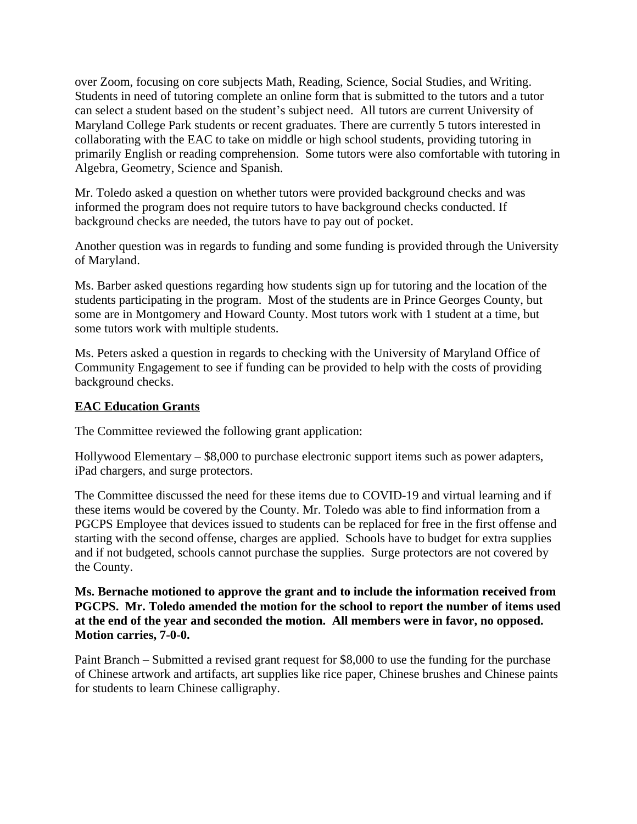over Zoom, focusing on core subjects Math, Reading, Science, Social Studies, and Writing. Students in need of tutoring complete an online form that is submitted to the tutors and a tutor can select a student based on the student's subject need. All tutors are current University of Maryland College Park students or recent graduates. There are currently 5 tutors interested in collaborating with the EAC to take on middle or high school students, providing tutoring in primarily English or reading comprehension. Some tutors were also comfortable with tutoring in Algebra, Geometry, Science and Spanish.

Mr. Toledo asked a question on whether tutors were provided background checks and was informed the program does not require tutors to have background checks conducted. If background checks are needed, the tutors have to pay out of pocket.

Another question was in regards to funding and some funding is provided through the University of Maryland.

Ms. Barber asked questions regarding how students sign up for tutoring and the location of the students participating in the program. Most of the students are in Prince Georges County, but some are in Montgomery and Howard County. Most tutors work with 1 student at a time, but some tutors work with multiple students.

Ms. Peters asked a question in regards to checking with the University of Maryland Office of Community Engagement to see if funding can be provided to help with the costs of providing background checks.

## **EAC Education Grants**

The Committee reviewed the following grant application:

Hollywood Elementary – \$8,000 to purchase electronic support items such as power adapters, iPad chargers, and surge protectors.

The Committee discussed the need for these items due to COVID-19 and virtual learning and if these items would be covered by the County. Mr. Toledo was able to find information from a PGCPS Employee that devices issued to students can be replaced for free in the first offense and starting with the second offense, charges are applied. Schools have to budget for extra supplies and if not budgeted, schools cannot purchase the supplies. Surge protectors are not covered by the County.

**Ms. Bernache motioned to approve the grant and to include the information received from PGCPS. Mr. Toledo amended the motion for the school to report the number of items used at the end of the year and seconded the motion. All members were in favor, no opposed. Motion carries, 7-0-0.**

Paint Branch – Submitted a revised grant request for \$8,000 to use the funding for the purchase of Chinese artwork and artifacts, art supplies like rice paper, Chinese brushes and Chinese paints for students to learn Chinese calligraphy.